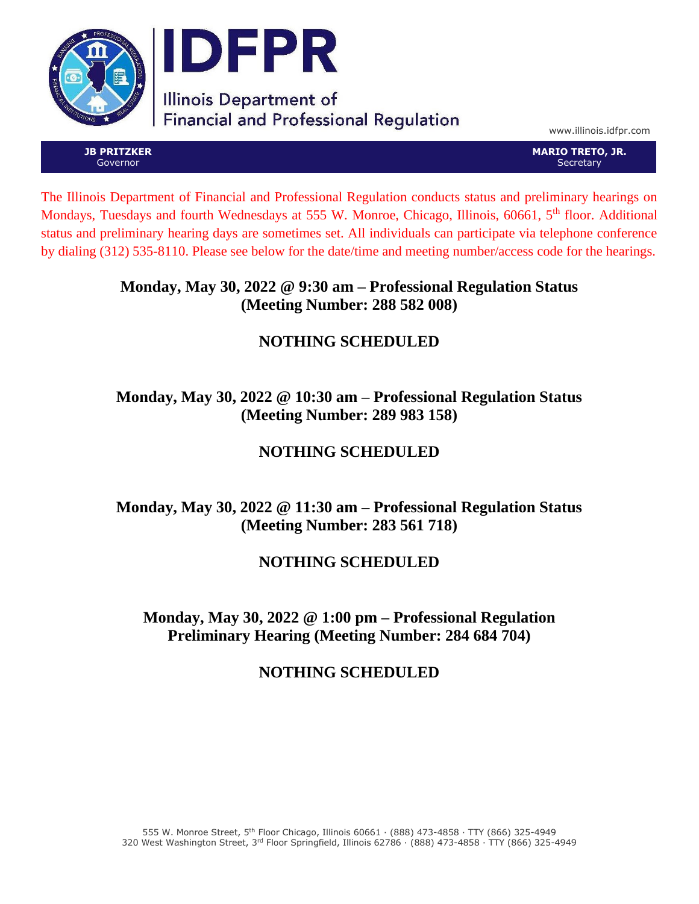

www.illinois.idfpr.com

**JB PRITZKER** Governor

**MARIO TRETO, JR. Secretary** 

The Illinois Department of Financial and Professional Regulation conducts status and preliminary hearings on Mondays, Tuesdays and fourth Wednesdays at 555 W. Monroe, Chicago, Illinois, 60661, 5<sup>th</sup> floor. Additional status and preliminary hearing days are sometimes set. All individuals can participate via telephone conference by dialing (312) 535-8110. Please see below for the date/time and meeting number/access code for the hearings.

#### **Monday, May 30, 2022 @ 9:30 am – Professional Regulation Status (Meeting Number: 288 582 008)**

# **NOTHING SCHEDULED**

## **Monday, May 30, 2022 @ 10:30 am – Professional Regulation Status (Meeting Number: 289 983 158)**

# **NOTHING SCHEDULED**

## **Monday, May 30, 2022 @ 11:30 am – Professional Regulation Status (Meeting Number: 283 561 718)**

## **NOTHING SCHEDULED**

### **Monday, May 30, 2022 @ 1:00 pm – Professional Regulation Preliminary Hearing (Meeting Number: 284 684 704)**

### **NOTHING SCHEDULED**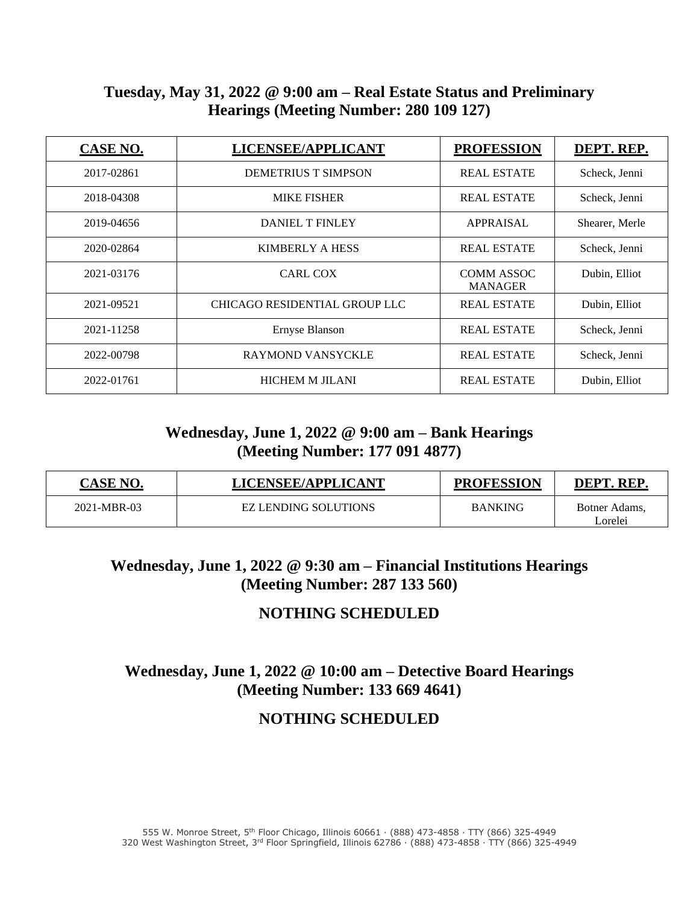#### **Tuesday, May 31, 2022 @ 9:00 am – Real Estate Status and Preliminary Hearings (Meeting Number: 280 109 127)**

| <b>CASE NO.</b> | LICENSEE/APPLICANT                   | <b>PROFESSION</b>                   | DEPT. REP.     |
|-----------------|--------------------------------------|-------------------------------------|----------------|
| 2017-02861      | <b>DEMETRIUS T SIMPSON</b>           | <b>REAL ESTATE</b>                  | Scheck, Jenni  |
| 2018-04308      | <b>MIKE FISHER</b>                   | <b>REAL ESTATE</b>                  | Scheck, Jenni  |
| 2019-04656      | <b>DANIEL T FINLEY</b>               | <b>APPRAISAL</b>                    | Shearer, Merle |
| 2020-02864      | KIMBERLY A HESS                      | <b>REAL ESTATE</b>                  | Scheck, Jenni  |
| 2021-03176      | <b>CARL COX</b>                      | <b>COMM ASSOC</b><br><b>MANAGER</b> | Dubin, Elliot  |
| 2021-09521      | <b>CHICAGO RESIDENTIAL GROUP LLC</b> | <b>REAL ESTATE</b>                  | Dubin, Elliot  |
| 2021-11258      | Ernyse Blanson                       |                                     | Scheck, Jenni  |
| 2022-00798      | <b>RAYMOND VANSYCKLE</b>             |                                     | Scheck, Jenni  |
| 2022-01761      | <b>HICHEM M JILANI</b>               | <b>REAL ESTATE</b>                  | Dubin, Elliot  |

### **Wednesday, June 1, 2022 @ 9:00 am – Bank Hearings (Meeting Number: 177 091 4877)**

| <b>CASE NO.</b> | LICENSEE/APPLICANT          | <b>PROFESSION</b> | <b>DEPT. REP</b>         |
|-----------------|-----------------------------|-------------------|--------------------------|
| 2021-MBR-03     | <b>EZ LENDING SOLUTIONS</b> | <b>BANKING</b>    | Botner Adams,<br>Lorelei |

#### **Wednesday, June 1, 2022 @ 9:30 am – Financial Institutions Hearings (Meeting Number: 287 133 560)**

### **NOTHING SCHEDULED**

## **Wednesday, June 1, 2022 @ 10:00 am – Detective Board Hearings (Meeting Number: 133 669 4641)**

#### **NOTHING SCHEDULED**